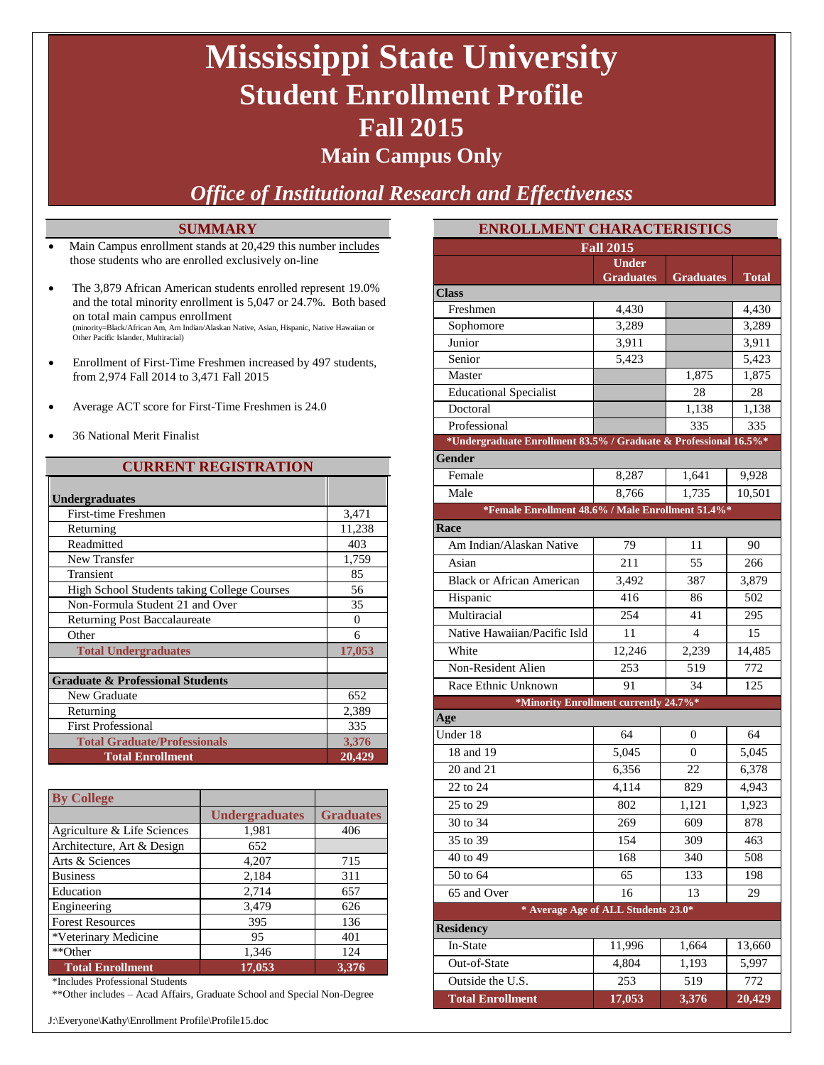# **Mississippi State University Student Enrollment Profile Fall 2015**

### **Main Campus Only**

### *Office of Institutional Research and Effectiveness*

#### **SUMMARY**

- Main Campus enrollment stands at 20,429 this number includes those students who are enrolled exclusively on-line
- The 3,879 African American students enrolled represent 19.0% and the total minority enrollment is 5,047 or 24.7%. Both based on total main campus enrollment (minority=Black/African Am, Am Indian/Alaskan Native, Asian, Hispanic, Native Hawaiian or Other Pacific Islander, Multiracial)
- Enrollment of First-Time Freshmen increased by 497 students, from 2,974 Fall 2014 to 3,471 Fall 2015
- Average ACT score for First-Time Freshmen is 24.0
- 36 National Merit Finalist

#### **CURRENT REGISTRATION**

| <b>Undergraduates</b>                       |          |
|---------------------------------------------|----------|
| First-time Freshmen                         | 3,471    |
| Returning                                   | 11,238   |
| Readmitted                                  | 403      |
| New Transfer                                | 1,759    |
| Transient                                   | 85       |
| High School Students taking College Courses | 56       |
| Non-Formula Student 21 and Over             | 35       |
| <b>Returning Post Baccalaureate</b>         | $\Omega$ |
| Other                                       | 6        |
| <b>Total Undergraduates</b>                 | 17,053   |
|                                             |          |
| <b>Graduate &amp; Professional Students</b> |          |
| New Graduate                                | 652      |
| Returning                                   | 2,389    |
| <b>First Professional</b>                   | 335      |
| <b>Total Graduate/Professionals</b>         | 3,376    |
| <b>Total Enrollment</b>                     | 20,429   |

| <b>By College</b>           |                       |                  |
|-----------------------------|-----------------------|------------------|
|                             | <b>Undergraduates</b> | <b>Graduates</b> |
| Agriculture & Life Sciences | 1,981                 | 406              |
| Architecture, Art & Design  | 652                   |                  |
| Arts & Sciences             | 4,207                 | 715              |
| <b>Business</b>             | 2,184                 | 311              |
| Education                   | 2,714                 | 657              |
| Engineering                 | 3,479                 | 626              |
| <b>Forest Resources</b>     | 395                   | 136              |
| *Veterinary Medicine        | 95                    | 401              |
| **Other                     | 1,346                 | 124              |
| <b>Total Enrollment</b>     | 17,053                | 3,376            |

\*Includes Professional Students

\*\*Other includes – Acad Affairs, Graduate School and Special Non-Degree

J:\Everyone\Kathy\Enrollment Profile\Profile15.doc

| <b>ENROLLMENT CHARACTERISTICS</b>                                |                  |                  |              |  |
|------------------------------------------------------------------|------------------|------------------|--------------|--|
| <b>Fall 2015</b>                                                 |                  |                  |              |  |
|                                                                  | <b>Under</b>     |                  |              |  |
|                                                                  | <b>Graduates</b> | <b>Graduates</b> | <b>Total</b> |  |
| <b>Class</b><br>Freshmen                                         | 4,430            |                  | 4,430        |  |
| Sophomore                                                        | 3,289            |                  | 3,289        |  |
| Junior                                                           | 3,911            |                  | 3,911        |  |
| Senior                                                           | 5,423            |                  | 5,423        |  |
| Master                                                           |                  | 1,875            | 1,875        |  |
| <b>Educational Specialist</b>                                    |                  | 28               | 28           |  |
| Doctoral                                                         |                  | 1,138            | 1,138        |  |
| Professional                                                     |                  | 335              | 335          |  |
| *Undergraduate Enrollment 83.5% / Graduate & Professional 16.5%* |                  |                  |              |  |
| Gender                                                           |                  |                  |              |  |
| Female                                                           | 8,287            | 1,641            | 9,928        |  |
| Male                                                             | 8.766            | 1,735            | 10,501       |  |
| *Female Enrollment 48.6% / Male Enrollment 51.4%*                |                  |                  |              |  |
| Race                                                             |                  |                  |              |  |
| Am Indian/Alaskan Native                                         | 79               | 11               | 90           |  |
| Asian                                                            | 211              | 55               | 266          |  |
| <b>Black or African American</b>                                 | 3,492            | 387              | 3,879        |  |
| Hispanic                                                         | 416              | 86               | 502          |  |
| Multiracial                                                      | 254              | 41               | 295          |  |
| Native Hawaiian/Pacific Isld                                     | 11               | $\overline{4}$   | 15           |  |
| White                                                            | 12,246           | 2,239            | 14,485       |  |
| Non-Resident Alien                                               | 253              | 519              | 772          |  |
| Race Ethnic Unknown                                              | 91               | 34               | 125          |  |
| *Minority Enrollment currently 24.7%*                            |                  |                  |              |  |
| Age                                                              |                  |                  |              |  |
| Under 18                                                         | 64               | 0                | 64           |  |
| 18 and 19                                                        | 5,045            | 0                | 5,045        |  |
| 20 and 21                                                        | 6,356            | 22               | 6,378        |  |
| 22 to 24                                                         | 4,114            | 829              | 4,943        |  |
| 25 to 29                                                         | 802              | 1,121            | 1,923        |  |
| 30 to 34                                                         | 269              | 609              | 878          |  |
| 35 to 39                                                         | 154              | 309              | 463          |  |
| 40 to 49                                                         | 168              | 340              | 508          |  |
| 50 to 64                                                         | 65               | 133              | 198          |  |
| 65 and Over                                                      | 16               | 13               | 29           |  |
| * Average Age of ALL Students 23.0*                              |                  |                  |              |  |
| <b>Residency</b>                                                 |                  |                  |              |  |
| In-State                                                         | 11,996           | 1,664            | 13,660       |  |
| Out-of-State                                                     | 4,804            | 1,193            | 5,997        |  |
| Outside the U.S.                                                 | 253              | 519              | 772          |  |
| <b>Total Enrollment</b>                                          | 17,053           | 3,376            | 20,429       |  |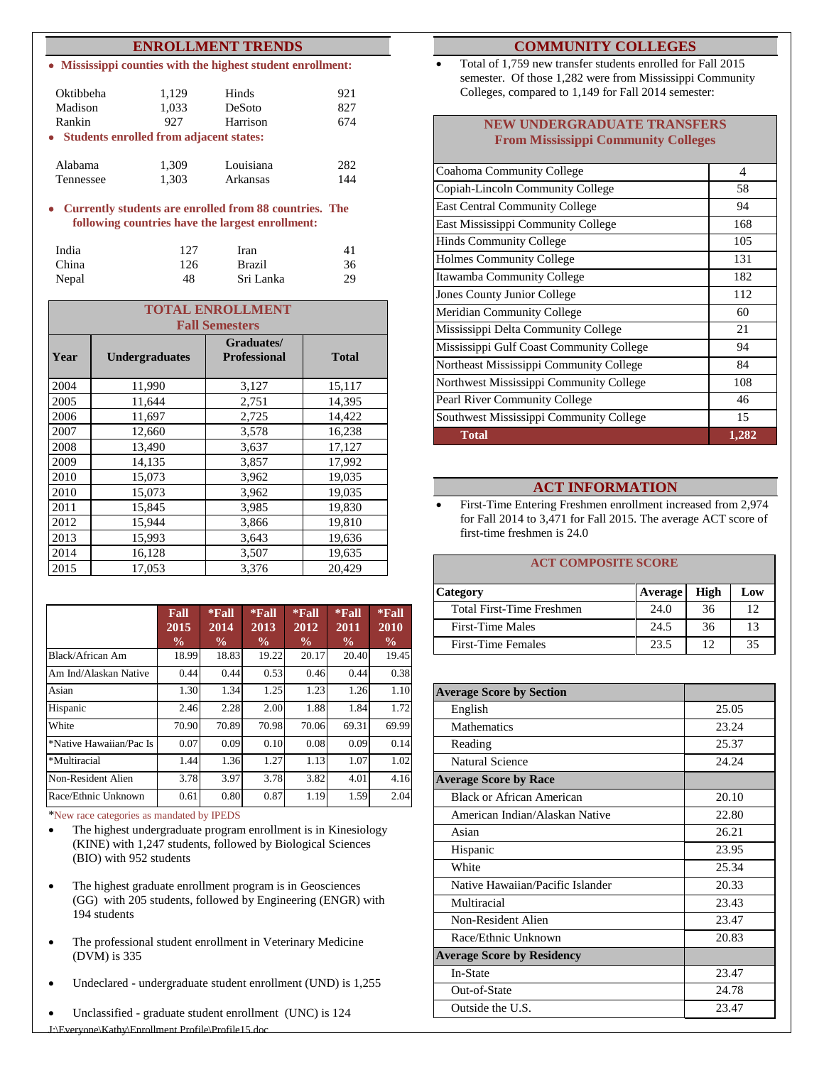#### **ENROLLMENT TRENDS**

|  |  |  |  |  |  | • Mississippi counties with the highest student enrollment: |
|--|--|--|--|--|--|-------------------------------------------------------------|
|--|--|--|--|--|--|-------------------------------------------------------------|

| Oktibbeha                                 | 1,129 | Hinds     | 921 |
|-------------------------------------------|-------|-----------|-----|
| Madison                                   | 1,033 | DeSoto    | 827 |
| Rankin                                    | 927   | Harrison  | 674 |
| • Students enrolled from adjacent states: |       |           |     |
| Alabama                                   | 1,309 | Louisiana | 282 |
| Tennessee                                 | 1,303 | Arkansas  | 144 |

**Currently students are enrolled from 88 countries. The following countries have the largest enrollment:**

| India | 127 | Iran      |    |
|-------|-----|-----------|----|
| China | 126 | Brazil    | 36 |
| Nepal | 48  | Sri Lanka | 29 |

|                                                                                    | <b>TOTAL ENROLLMENT</b><br><b>Fall Semesters</b> |       |        |  |  |  |
|------------------------------------------------------------------------------------|--------------------------------------------------|-------|--------|--|--|--|
| Graduates/<br>Year<br><b>Professional</b><br><b>Total</b><br><b>Undergraduates</b> |                                                  |       |        |  |  |  |
| 2004                                                                               | 11,990                                           | 3,127 | 15,117 |  |  |  |
| 2005                                                                               | 11.644                                           | 2,751 | 14,395 |  |  |  |
| 2006                                                                               | 11,697                                           | 2,725 | 14,422 |  |  |  |
| 2007                                                                               | 12,660                                           | 3,578 | 16,238 |  |  |  |
| 2008                                                                               | 13,490                                           | 3,637 | 17,127 |  |  |  |
| 2009                                                                               | 14,135                                           | 3,857 | 17,992 |  |  |  |
| 2010                                                                               | 15,073                                           | 3,962 | 19,035 |  |  |  |
| 2010                                                                               | 15,073                                           | 3,962 | 19,035 |  |  |  |
| 2011                                                                               | 15,845                                           | 3,985 | 19,830 |  |  |  |
| 2012                                                                               | 15,944                                           | 3,866 | 19,810 |  |  |  |
| 2013                                                                               | 15,993                                           | 3,643 | 19,636 |  |  |  |
| 2014                                                                               | 16,128                                           | 3,507 | 19,635 |  |  |  |
| 2015                                                                               | 17,053                                           | 3,376 | 20,429 |  |  |  |

|                         | Fall<br>2015<br>$\frac{0}{0}$ | $*$ Fall<br>2014<br>$\frac{0}{0}$ | $*$ Fall<br>2013<br>$\frac{0}{0}$ | $*$ Fall<br>2012<br>$\frac{0}{0}$ | $*$ Fall<br>2011<br>$\frac{0}{0}$ | $*$ Fall<br>2010<br>$\frac{0}{0}$ |
|-------------------------|-------------------------------|-----------------------------------|-----------------------------------|-----------------------------------|-----------------------------------|-----------------------------------|
| Black/African Am        | 18.99                         | 18.83                             | 19.22                             | 20.17                             | 20.40                             | 19.45                             |
| Am Ind/Alaskan Native   | 0.44                          | 0.44                              | 0.53                              | 0.46                              | 0.44                              | 0.38                              |
| Asian                   | 1.30                          | 1.34                              | 1.25                              | 1.23                              | 1.26                              | 1.10                              |
| Hispanic                | 2.46                          | 2.28                              | 2.00                              | 1.88                              | 1.84                              | 1.72                              |
| White                   | 70.90                         | 70.89                             | 70.98                             | 70.06                             | 69.31                             | 69.99                             |
| *Native Hawaiian/Pac Is | 0.07                          | 0.09                              | 0.10                              | 0.08                              | 0.09                              | 0.14                              |
| *Multiracial            | 1.44                          | 1.36                              | 1.27                              | 1.13                              | 1.07                              | 1.02                              |
| Non-Resident Alien      | 3.78                          | 3.97                              | 3.78                              | 3.82                              | 4.01                              | 4.16                              |
| Race/Ethnic Unknown     | 0.61                          | 0.80                              | 0.87                              | 1.19                              | 1.59                              | 2.04                              |

\*New race categories as mandated by IPEDS

- The highest undergraduate program enrollment is in Kinesiology (KINE) with 1,247 students, followed by Biological Sciences (BIO) with 952 students
- The highest graduate enrollment program is in Geosciences (GG) with 205 students, followed by Engineering (ENGR) with 194 students
- The professional student enrollment in Veterinary Medicine (DVM) is 335
- Undeclared undergraduate student enrollment (UND) is 1,255
- Unclassified graduate student enrollment (UNC) is 124

#### **COMMUNITY COLLEGES**

 Total of 1,759 new transfer students enrolled for Fall 2015 semester. Of those 1,282 were from Mississippi Community Colleges, compared to 1,149 for Fall 2014 semester:

#### **NEW UNDERGRADUATE TRANSFERS From Mississippi Community Colleges**

| Coahoma Community College                | 4     |
|------------------------------------------|-------|
| Copiah-Lincoln Community College         | 58    |
| <b>East Central Community College</b>    | 94    |
| East Mississippi Community College       | 168   |
| <b>Hinds Community College</b>           | 105   |
| <b>Holmes Community College</b>          | 131   |
| Itawamba Community College               | 182   |
| Jones County Junior College              | 112   |
| <b>Meridian Community College</b>        | 60    |
| Mississippi Delta Community College      | 21    |
| Mississippi Gulf Coast Community College | 94    |
| Northeast Mississippi Community College  | 84    |
| Northwest Mississippi Community College  | 108   |
| Pearl River Community College            | 46    |
| Southwest Mississippi Community College  | 15    |
| Total                                    | 1,282 |

#### **ACT INFORMATION**

 First-Time Entering Freshmen enrollment increased from 2,974 for Fall 2014 to 3,471 for Fall 2015. The average ACT score of first-time freshmen is 24.0

#### **ACT COMPOSITE SCORE**

| Category                  | Average | High | Low |
|---------------------------|---------|------|-----|
| Total First-Time Freshmen | 24.0    | 36   | 12  |
| <b>First-Time Males</b>   | 24.5    | 36   | 13  |
| <b>First-Time Females</b> | 23.5    | 12   | 35  |

| <b>Average Score by Section</b>   |       |
|-----------------------------------|-------|
| English                           | 25.05 |
| <b>Mathematics</b>                | 23.24 |
| Reading                           | 25.37 |
| <b>Natural Science</b>            | 24.24 |
| <b>Average Score by Race</b>      |       |
| <b>Black or African American</b>  | 20.10 |
| American Indian/Alaskan Native    | 22.80 |
| Asian                             | 26.21 |
| Hispanic                          | 23.95 |
| White                             | 25.34 |
| Native Hawaiian/Pacific Islander  | 20.33 |
| Multiracial                       | 23.43 |
| Non-Resident Alien                | 23.47 |
| Race/Ethnic Unknown               | 20.83 |
| <b>Average Score by Residency</b> |       |
| In-State                          | 23.47 |
| Out-of-State                      | 24.78 |
| Outside the U.S.                  | 23.47 |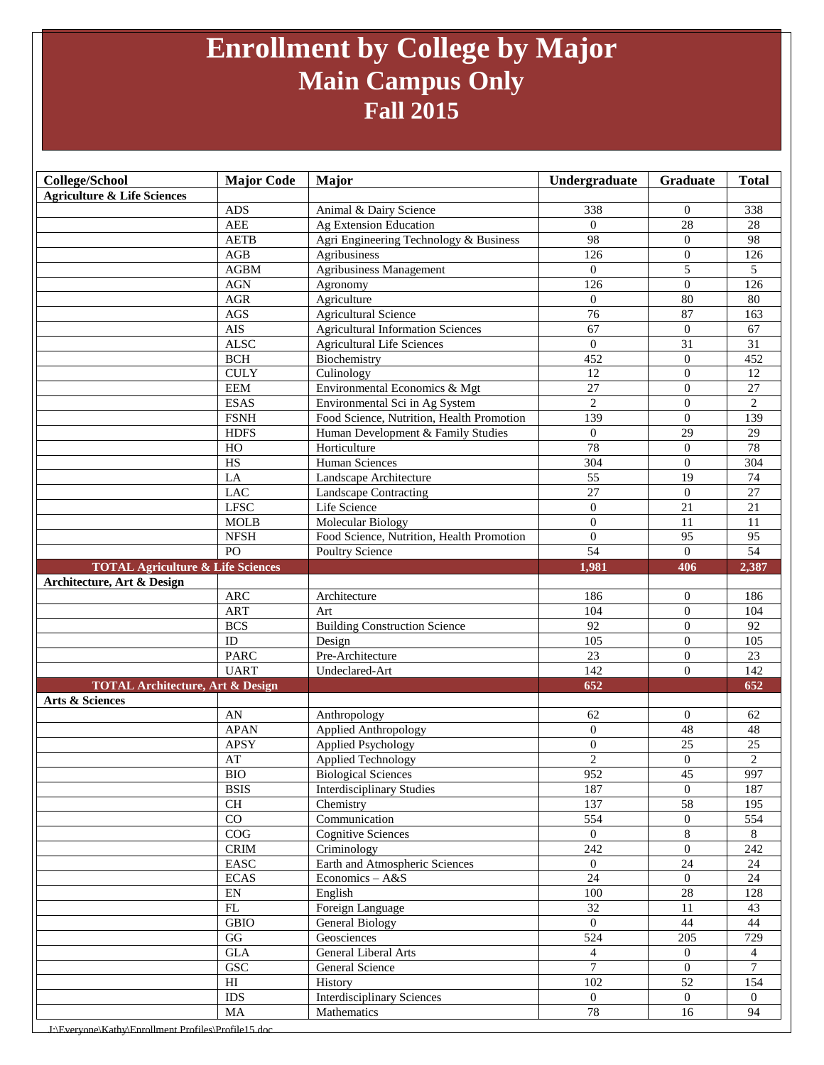# **Enrollment by College by Major Main Campus Only Fall 2015**

| <b>College/School</b>                        | <b>Major Code</b>          | Major                                         | Undergraduate              | Graduate             | <b>Total</b>     |
|----------------------------------------------|----------------------------|-----------------------------------------------|----------------------------|----------------------|------------------|
| <b>Agriculture &amp; Life Sciences</b>       |                            |                                               |                            |                      |                  |
|                                              | <b>ADS</b>                 | Animal & Dairy Science                        | 338                        | $\mathbf{0}$         | 338              |
|                                              | <b>AEE</b>                 | <b>Ag Extension Education</b>                 | $\mathbf{0}$               | 28                   | 28               |
|                                              | <b>AETB</b>                | Agri Engineering Technology & Business        | 98                         | $\overline{0}$       | 98               |
|                                              | AGB                        | Agribusiness                                  | 126                        | $\overline{0}$       | 126              |
|                                              | <b>AGBM</b>                | <b>Agribusiness Management</b>                | $\theta$                   | 5                    | 5                |
|                                              | $AGN$                      | Agronomy                                      | 126                        | $\theta$             | 126              |
|                                              | $\rm{AGR}$                 | Agriculture                                   | $\overline{0}$             | 80                   | 80               |
|                                              | $\rm{AGS}$                 | <b>Agricultural Science</b>                   | $\overline{76}$            | 87                   | 163              |
|                                              | <b>AIS</b>                 | <b>Agricultural Information Sciences</b>      | 67                         | $\theta$             | 67               |
|                                              | <b>ALSC</b>                | <b>Agricultural Life Sciences</b>             | $\Omega$                   | 31                   | 31               |
|                                              | <b>BCH</b>                 | Biochemistry                                  | 452                        | $\overline{0}$       | 452              |
|                                              | <b>CULY</b>                | Culinology                                    | 12                         | $\theta$             | 12               |
|                                              | <b>EEM</b>                 | Environmental Economics & Mgt                 | 27                         | $\mathbf{0}$         | 27               |
|                                              | <b>ESAS</b>                | Environmental Sci in Ag System                | $\sqrt{2}$                 | $\theta$             | $\mathbf{2}$     |
|                                              | <b>FSNH</b>                | Food Science, Nutrition, Health Promotion     | 139                        | $\mathbf{0}$         | 139              |
|                                              | <b>HDFS</b>                | Human Development & Family Studies            | $\mathbf{0}$               | 29                   | 29               |
|                                              | HO                         | Horticulture                                  | 78                         | $\overline{0}$       | 78               |
|                                              | HS                         | Human Sciences                                | 304                        | $\theta$             | 304              |
|                                              | LA                         | Landscape Architecture                        | 55                         | 19                   | 74               |
|                                              | <b>LAC</b>                 | <b>Landscape Contracting</b>                  | 27                         | $\theta$             | 27               |
|                                              | <b>LFSC</b>                | Life Science                                  | $\theta$                   | 21                   | 21               |
|                                              | <b>MOLB</b>                | Molecular Biology                             | $\boldsymbol{0}$           | $\overline{11}$      | 11               |
|                                              | <b>NFSH</b>                | Food Science, Nutrition, Health Promotion     | $\overline{0}$             | $\overline{95}$      | $\overline{95}$  |
|                                              | P <sub>O</sub>             | <b>Poultry Science</b>                        | $\overline{54}$            | $\Omega$             | 54               |
| <b>TOTAL Agriculture &amp; Life Sciences</b> |                            |                                               | 1,981                      | 406                  | 2,387            |
| Architecture, Art & Design                   |                            |                                               |                            |                      |                  |
|                                              | ARC                        | Architecture                                  | 186                        | $\boldsymbol{0}$     | 186              |
|                                              | <b>ART</b>                 | Art                                           | 104                        | $\overline{0}$       | 104              |
|                                              | <b>BCS</b>                 | <b>Building Construction Science</b>          | $\overline{92}$            | $\Omega$             | $\overline{92}$  |
|                                              | ID                         | Design                                        | 105                        | $\overline{0}$       | 105              |
|                                              | <b>PARC</b>                | Pre-Architecture                              | 23                         | $\theta$             | 23               |
|                                              | <b>UART</b>                | Undeclared-Art                                | 142                        | $\Omega$             | 142              |
| <b>TOTAL Architecture, Art &amp; Design</b>  |                            |                                               | 652                        |                      | 652              |
| Arts & Sciences                              |                            |                                               |                            |                      |                  |
|                                              | AN                         | Anthropology                                  | 62                         | $\mathbf{0}$         | 62               |
|                                              | <b>APAN</b><br><b>APSY</b> | Applied Anthropology                          | $\theta$<br>$\overline{0}$ | 48<br>25             | 48               |
|                                              | $\mathbf{A}\mathbf{T}$     | <b>Applied Psychology</b>                     |                            | $\overline{0}$       | 25<br>$\sqrt{2}$ |
|                                              |                            | <b>Applied Technology</b>                     | 2                          |                      |                  |
|                                              | <b>BIO</b><br><b>BSIS</b>  | <b>Biological Sciences</b>                    | 952<br>187                 | 45<br>$\overline{0}$ | 997<br>187       |
|                                              | CH                         | <b>Interdisciplinary Studies</b><br>Chemistry | 137                        | $\overline{58}$      | 195              |
|                                              | $\overline{CO}$            | Communication                                 | 554                        | $\mathbf{0}$         | 554              |
|                                              | COG                        | <b>Cognitive Sciences</b>                     | $\overline{0}$             | $8\,$                | 8                |
|                                              | <b>CRIM</b>                | Criminology                                   | 242                        | $\overline{0}$       | 242              |
|                                              | $\operatorname{EASC}$      | Earth and Atmospheric Sciences                | $\mathbf{0}$               | 24                   | 24               |
|                                              | ECAS                       | Economics $- A & S$                           | $\overline{24}$            | $\overline{0}$       | 24               |
|                                              | $\mathop{\rm EN}\nolimits$ | English                                       | 100                        | 28                   | 128              |
|                                              | FL                         | Foreign Language                              | $\overline{32}$            | 11                   | 43               |
|                                              | $\operatorname{GBIO}$      | General Biology                               | $\mathbf{0}$               | 44                   | 44               |
|                                              | $\rm GG$                   | Geosciences                                   | 524                        | 205                  | 729              |
|                                              | GLA                        | General Liberal Arts                          | $\overline{4}$             | $\overline{0}$       | $\overline{4}$   |
|                                              | GSC                        | General Science                               | $\overline{7}$             | $\overline{0}$       | $\overline{7}$   |
|                                              | HI                         | History                                       | $\overline{102}$           | $\overline{52}$      | 154              |
|                                              | <b>IDS</b>                 | <b>Interdisciplinary Sciences</b>             | $\mathbf{0}$               | $\overline{0}$       | $\overline{0}$   |
|                                              | $\rm MA$                   | Mathematics                                   | 78                         | 16                   | 94               |
|                                              |                            |                                               |                            |                      |                  |

:rvone\Kathy\Enrollment Profiles\Profi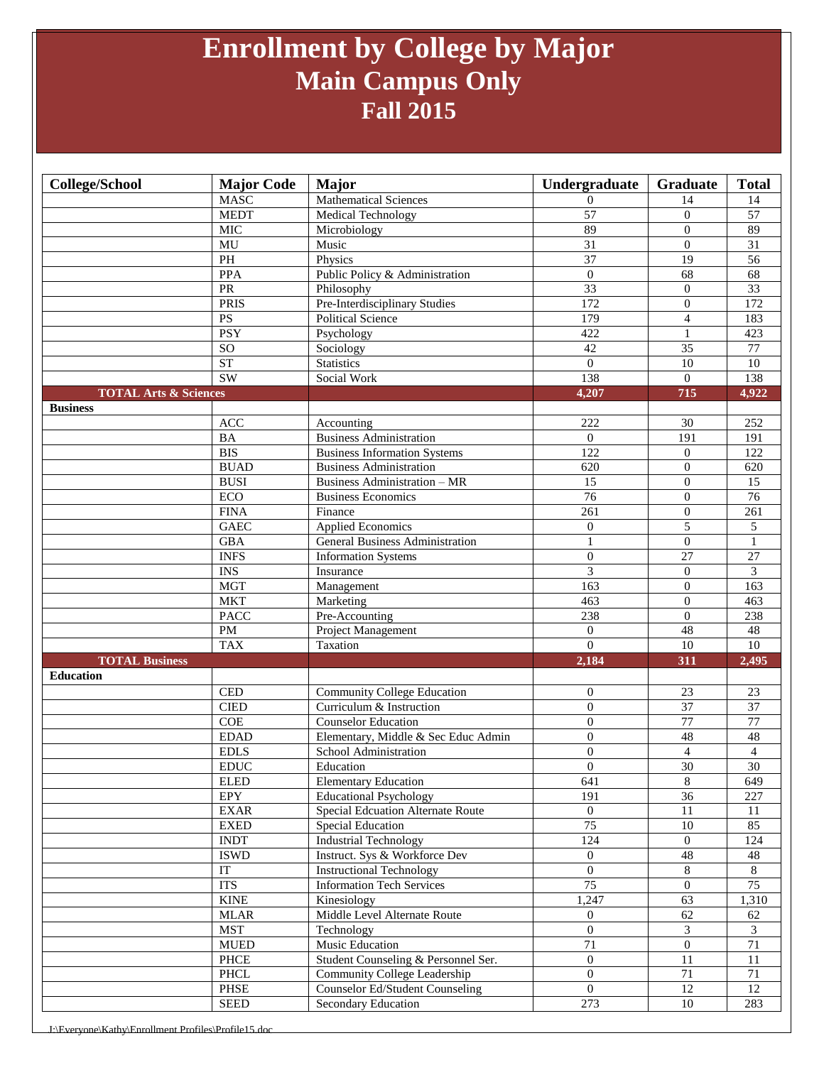# **Enrollment by College by Major Main Campus Only Fall 2015**

| <b>College/School</b>            | <b>Major Code</b>            | <b>Major</b>                           | Undergraduate    | Graduate         | <b>Total</b>            |
|----------------------------------|------------------------------|----------------------------------------|------------------|------------------|-------------------------|
|                                  | <b>MASC</b>                  | <b>Mathematical Sciences</b>           | $\Omega$         | 14               | 14                      |
|                                  | <b>MEDT</b>                  | Medical Technology                     | $\overline{57}$  | $\theta$         | 57                      |
|                                  | <b>MIC</b>                   | Microbiology                           | 89               | $\theta$         | 89                      |
|                                  | MU                           | Music                                  | 31               | $\theta$         | 31                      |
|                                  | $\mathbf{PH}$                | Physics                                | $\overline{37}$  | 19               | $\overline{56}$         |
|                                  | <b>PPA</b>                   | Public Policy & Administration         | $\boldsymbol{0}$ | 68               | 68                      |
|                                  | PR                           | Philosophy                             | 33               | $\overline{0}$   | 33                      |
|                                  | <b>PRIS</b>                  | Pre-Interdisciplinary Studies          | 172              | $\overline{0}$   | $\overline{172}$        |
|                                  | $\overline{PS}$              | <b>Political Science</b>               | 179              | $\overline{4}$   | 183                     |
|                                  | <b>PSY</b>                   | Psychology                             | 422              | 1                | 423                     |
|                                  | SO                           | Sociology                              | 42               | $\overline{35}$  | $\overline{77}$         |
|                                  | <b>ST</b>                    | <b>Statistics</b>                      | $\overline{0}$   | 10               | 10                      |
|                                  | SW                           | Social Work                            | 138              | $\Omega$         | 138                     |
| <b>TOTAL Arts &amp; Sciences</b> |                              |                                        | 4,207            | 715              | 4,922                   |
| <b>Business</b>                  |                              |                                        |                  |                  |                         |
|                                  | ACC                          | Accounting                             | 222              | 30               | 252                     |
|                                  | <b>BA</b>                    | <b>Business Administration</b>         | $\mathbf{0}$     | 191              | 191                     |
|                                  | <b>BIS</b>                   | <b>Business Information Systems</b>    | 122              | $\overline{0}$   | 122                     |
|                                  | <b>BUAD</b>                  | <b>Business Administration</b>         | 620              | $\mathbf{0}$     | 620                     |
|                                  | <b>BUSI</b>                  | <b>Business Administration - MR</b>    | $\overline{15}$  | $\overline{0}$   | $\overline{15}$         |
|                                  | <b>ECO</b>                   | <b>Business Economics</b>              | 76               | $\overline{0}$   | 76                      |
|                                  | <b>FINA</b>                  | Finance                                | 261              | $\overline{0}$   | 261                     |
|                                  | <b>GAEC</b>                  | <b>Applied Economics</b>               | $\overline{0}$   | 5                | 5                       |
|                                  | <b>GBA</b>                   | General Business Administration        | $\mathbf{1}$     | $\overline{0}$   | $\mathbf{1}$            |
|                                  | <b>INFS</b>                  | <b>Information Systems</b>             | $\boldsymbol{0}$ | $\overline{27}$  | $\overline{27}$         |
|                                  | $\overline{\text{INS}}$      | Insurance                              | $\overline{3}$   | $\overline{0}$   | $\overline{\mathbf{3}}$ |
|                                  | <b>MGT</b>                   | Management                             | 163              | $\theta$         | 163                     |
|                                  | <b>MKT</b>                   | Marketing                              | 463              | $\theta$         | 463                     |
|                                  | <b>PACC</b>                  | Pre-Accounting                         | 238              | $\theta$         | 238                     |
|                                  | $\mathbf{PM}$                | Project Management                     | $\mathbf{0}$     | 48               | 48                      |
|                                  | <b>TAX</b>                   | Taxation                               | $\Omega$         | $\overline{10}$  | $\overline{10}$         |
| <b>TOTAL Business</b>            |                              |                                        | 2,184            | 311              | 2,495                   |
| <b>Education</b>                 |                              |                                        |                  |                  |                         |
|                                  | $\mathop{\mathrm{CED}}$      | <b>Community College Education</b>     | $\overline{0}$   | 23               | 23                      |
|                                  | <b>CIED</b>                  | Curriculum & Instruction               | $\overline{0}$   | 37               | 37                      |
|                                  | COE                          | <b>Counselor Education</b>             | $\theta$         | 77               | $77 \,$                 |
|                                  | <b>EDAD</b>                  | Elementary, Middle & Sec Educ Admin    | $\overline{0}$   | 48               | 48                      |
|                                  | <b>EDLS</b>                  | School Administration                  | $\boldsymbol{0}$ | $\overline{4}$   | 4                       |
|                                  | <b>EDUC</b>                  | Education                              | $\mathbf{0}$     | $\overline{30}$  | $\overline{30}$         |
|                                  | <b>ELED</b>                  | <b>Elementary Education</b>            | 641              | 8                | 649                     |
|                                  | EPY                          | <b>Educational Psychology</b>          | 191              | $\overline{36}$  | 227                     |
|                                  | <b>EXAR</b>                  | Special Edcuation Alternate Route      | $\overline{0}$   | 11               | 11                      |
|                                  | <b>EXED</b>                  | Special Education                      | 75               | 10               | 85                      |
|                                  | <b>INDT</b>                  | <b>Industrial Technology</b>           | 124              | $\boldsymbol{0}$ | 124                     |
|                                  | <b>ISWD</b>                  | Instruct. Sys & Workforce Dev          | $\overline{0}$   | 48               | 48                      |
|                                  | IT                           | <b>Instructional Technology</b>        | $\overline{0}$   | 8                | 8                       |
|                                  | <b>ITS</b>                   | <b>Information Tech Services</b>       | $\overline{75}$  | $\overline{0}$   | $\overline{75}$         |
|                                  | <b>KINE</b>                  | Kinesiology                            | 1,247            | 63               | 1,310                   |
|                                  | MLAR                         | Middle Level Alternate Route           | $\overline{0}$   | 62               | 62                      |
|                                  | <b>MST</b>                   | Technology                             | $\boldsymbol{0}$ | $\mathfrak{Z}$   | 3                       |
|                                  | ${\tt MUED}$                 | Music Education                        | 71               | $\overline{0}$   | $\overline{71}$         |
|                                  | PHCE                         | Student Counseling & Personnel Ser.    | $\mathbf{0}$     | $\overline{11}$  | 11                      |
|                                  | $\ensuremath{\mathsf{PHCL}}$ | Community College Leadership           | $\boldsymbol{0}$ | $71\,$           | $71\,$                  |
|                                  | <b>PHSE</b>                  | <b>Counselor Ed/Student Counseling</b> | $\overline{0}$   | 12               | 12                      |
|                                  | <b>SEED</b>                  | Secondary Education                    | 273              | 10               | 283                     |

J:\Everyone\Kathy\Enrollment Profiles\Profile15.d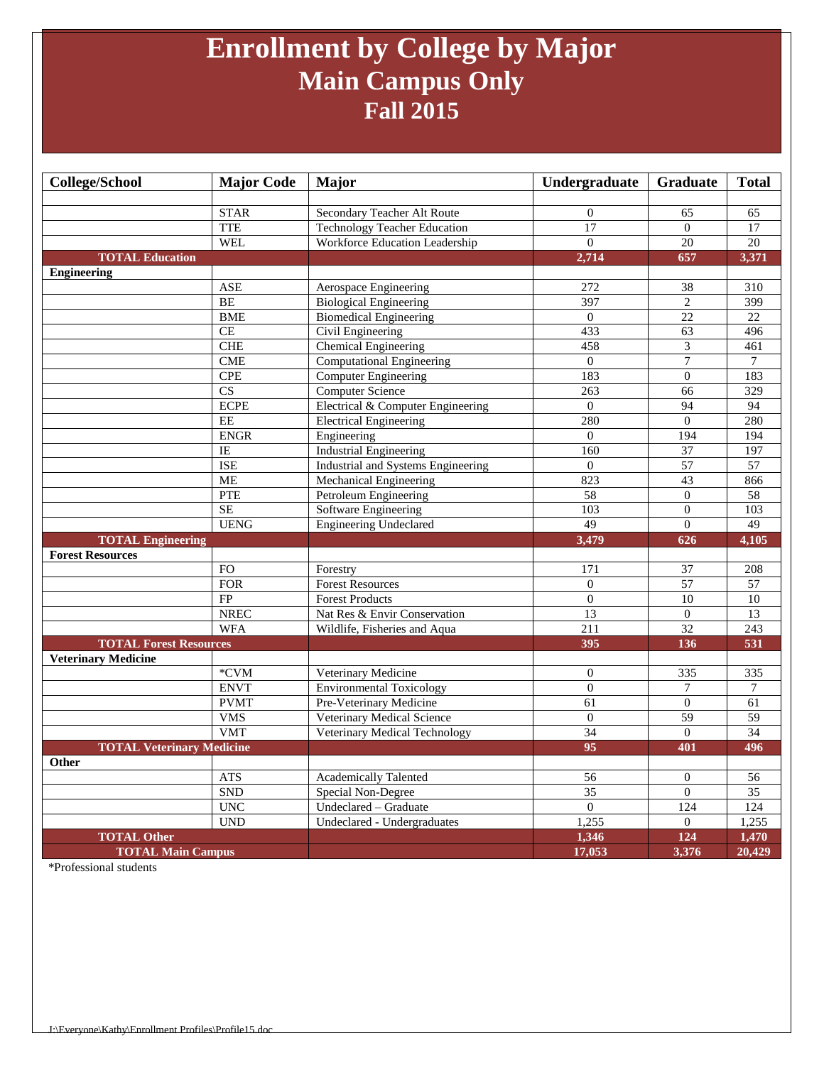## **Enrollment by College by Major Main Campus Only Fall 2015**

| <b>College/School</b>            | <b>Major Code</b> | <b>Major</b>                        | Undergraduate    | Graduate         | <b>Total</b>     |
|----------------------------------|-------------------|-------------------------------------|------------------|------------------|------------------|
|                                  |                   |                                     |                  |                  |                  |
|                                  | <b>STAR</b>       | Secondary Teacher Alt Route         | $\boldsymbol{0}$ | 65               | 65               |
|                                  | <b>TTE</b>        | <b>Technology Teacher Education</b> | 17               | $\overline{0}$   | 17               |
|                                  | <b>WEL</b>        | Workforce Education Leadership      | $\mathbf{0}$     | $\overline{20}$  | $\overline{20}$  |
| <b>TOTAL Education</b>           |                   |                                     | 2,714            | 657              | 3,371            |
| <b>Engineering</b>               |                   |                                     |                  |                  |                  |
|                                  | <b>ASE</b>        | Aerospace Engineering               | 272              | 38               | 310              |
|                                  | BE                | <b>Biological Engineering</b>       | 397              | $\overline{2}$   | 399              |
|                                  | <b>BME</b>        | <b>Biomedical Engineering</b>       | $\boldsymbol{0}$ | 22               | 22               |
|                                  | CE                | Civil Engineering                   | 433              | 63               | 496              |
|                                  | <b>CHE</b>        | Chemical Engineering                | 458              | 3                | 461              |
|                                  | <b>CME</b>        | <b>Computational Engineering</b>    | $\Omega$         | $\overline{7}$   | $\boldsymbol{7}$ |
|                                  | <b>CPE</b>        | <b>Computer Engineering</b>         | 183              | $\boldsymbol{0}$ | 183              |
|                                  | CS                | Computer Science                    | 263              | 66               | 329              |
|                                  | <b>ECPE</b>       | Electrical & Computer Engineering   | $\Omega$         | 94               | 94               |
|                                  | EE                | <b>Electrical Engineering</b>       | 280              | $\overline{0}$   | 280              |
|                                  | <b>ENGR</b>       | Engineering                         | $\Omega$         | 194              | 194              |
|                                  | IE                | <b>Industrial Engineering</b>       | 160              | $\overline{37}$  | 197              |
|                                  | <b>ISE</b>        | Industrial and Systems Engineering  | $\overline{0}$   | $\overline{57}$  | $\overline{57}$  |
|                                  | <b>ME</b>         | Mechanical Engineering              | 823              | 43               | 866              |
|                                  | PTE               | Petroleum Engineering               | $\overline{58}$  | $\boldsymbol{0}$ | 58               |
|                                  | SE                | Software Engineering                | 103              | $\overline{0}$   | 103              |
|                                  | <b>UENG</b>       | <b>Engineering Undeclared</b>       | $\overline{49}$  | $\boldsymbol{0}$ | 49               |
| <b>TOTAL Engineering</b>         |                   |                                     | 3,479            | 626              | 4,105            |
| <b>Forest Resources</b>          |                   |                                     |                  |                  |                  |
|                                  | <b>FO</b>         | Forestry                            | 171              | 37               | 208              |
|                                  | <b>FOR</b>        | <b>Forest Resources</b>             | $\Omega$         | 57               | 57               |
|                                  | <b>FP</b>         | <b>Forest Products</b>              | $\mathbf{0}$     | 10               | 10               |
|                                  | <b>NREC</b>       | Nat Res & Envir Conservation        | 13               | $\overline{0}$   | 13               |
|                                  | <b>WFA</b>        | Wildlife, Fisheries and Aqua        | 211              | 32               | 243              |
| <b>TOTAL Forest Resources</b>    |                   |                                     | 395              | 136              | 531              |
| <b>Veterinary Medicine</b>       |                   |                                     |                  |                  |                  |
|                                  | *CVM              | Veterinary Medicine                 | $\mathbf{0}$     | 335              | 335              |
|                                  | <b>ENVT</b>       | <b>Environmental Toxicology</b>     | $\mathbf{0}$     | $\tau$           | 7                |
|                                  | <b>PVMT</b>       | Pre-Veterinary Medicine             | 61               | $\overline{0}$   | $\overline{61}$  |
|                                  | <b>VMS</b>        | Veterinary Medical Science          | $\boldsymbol{0}$ | $\overline{59}$  | 59               |
|                                  | <b>VMT</b>        | Veterinary Medical Technology       | 34               | $\overline{0}$   | 34               |
| <b>TOTAL Veterinary Medicine</b> |                   |                                     | 95               | 401              | 496              |
| Other                            |                   |                                     |                  |                  |                  |
|                                  | <b>ATS</b>        | <b>Academically Talented</b>        | 56               | $\Omega$         | 56               |
|                                  | <b>SND</b>        | Special Non-Degree                  | $\overline{35}$  | $\Omega$         | $\overline{35}$  |
|                                  | <b>UNC</b>        | Undeclared - Graduate               | $\Omega$         | 124              | $\overline{124}$ |
|                                  | <b>UND</b>        | Undeclared - Undergraduates         | 1,255            | $\Omega$         | 1,255            |
| <b>TOTAL Other</b>               |                   |                                     | 1,346            | 124              | 1,470            |
| <b>TOTAL Main Campus</b>         |                   |                                     | 17,053           | 3,376            | 20,429           |

\*Professional students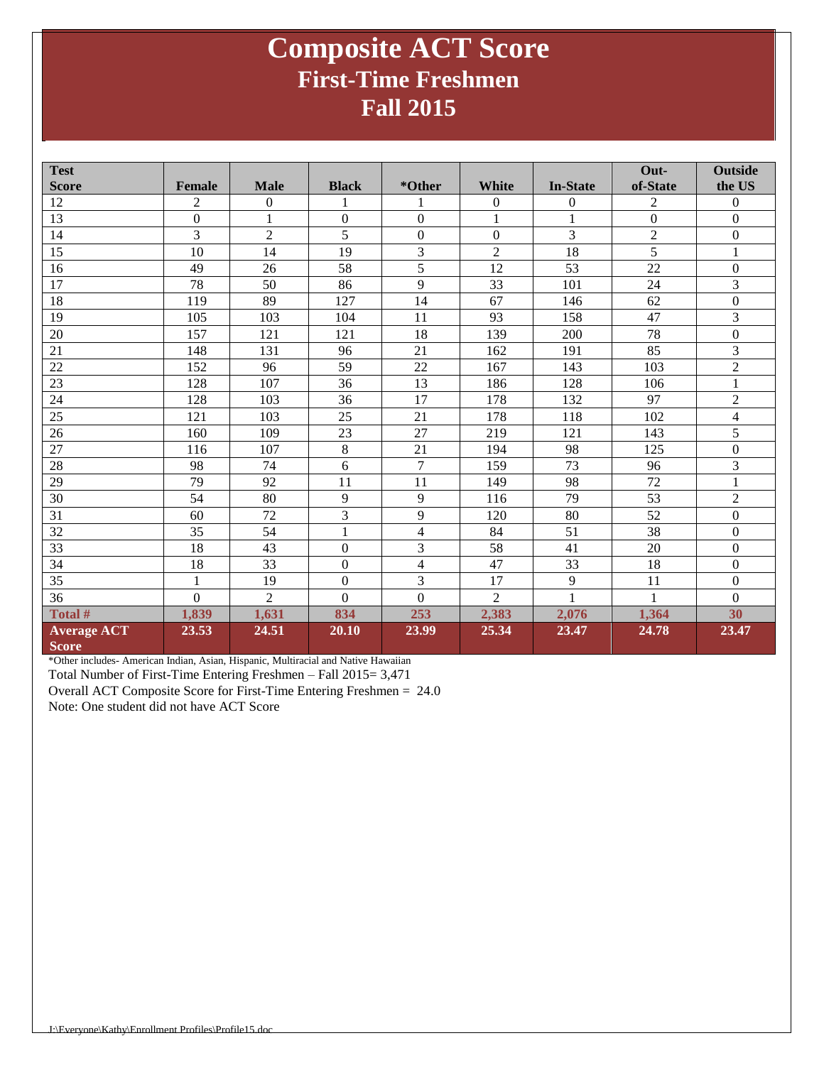### **Composite ACT Score First-Time Freshmen Fall 2015**

| <b>Test</b>        |                  |                  |                  |                  |                  |                 | Out-             | <b>Outside</b>   |
|--------------------|------------------|------------------|------------------|------------------|------------------|-----------------|------------------|------------------|
| <b>Score</b>       | <b>Female</b>    | <b>Male</b>      | <b>Black</b>     | *Other           | White            | <b>In-State</b> | of-State         | the US           |
| 12                 | $\overline{2}$   | $\boldsymbol{0}$ | 1                |                  | $\boldsymbol{0}$ | $\Omega$        | $\overline{c}$   | $\mathbf{0}$     |
| 13                 | $\boldsymbol{0}$ | 1                | $\boldsymbol{0}$ | $\boldsymbol{0}$ | $\mathbf{1}$     | 1               | $\boldsymbol{0}$ | $\boldsymbol{0}$ |
| 14                 | 3                | $\overline{2}$   | 5                | $\boldsymbol{0}$ | $\boldsymbol{0}$ | 3               | $\overline{2}$   | $\boldsymbol{0}$ |
| 15                 | 10               | 14               | 19               | 3                | $\overline{2}$   | 18              | 5                | $\,1\,$          |
| 16                 | 49               | 26               | 58               | 5                | 12               | 53              | 22               | $\boldsymbol{0}$ |
| 17                 | 78               | 50               | 86               | 9                | 33               | 101             | 24               | 3                |
| 18                 | 119              | 89               | 127              | 14               | 67               | 146             | 62               | $\boldsymbol{0}$ |
| 19                 | 105              | 103              | 104              | 11               | 93               | 158             | 47               | 3                |
| 20                 | 157              | 121              | 121              | 18               | 139              | 200             | 78               | $\boldsymbol{0}$ |
| 21                 | 148              | 131              | 96               | 21               | 162              | 191             | 85               | 3                |
| 22                 | 152              | 96               | 59               | 22               | 167              | 143             | 103              | $\overline{c}$   |
| 23                 | 128              | 107              | 36               | 13               | 186              | 128             | 106              | $\,1\,$          |
| 24                 | 128              | 103              | 36               | 17               | 178              | 132             | 97               | $\overline{2}$   |
| 25                 | 121              | 103              | 25               | 21               | 178              | 118             | 102              | $\overline{4}$   |
| 26                 | 160              | 109              | 23               | 27               | 219              | 121             | 143              | 5                |
| 27                 | 116              | 107              | $\,8\,$          | 21               | 194              | 98              | 125              | $\boldsymbol{0}$ |
| 28                 | 98               | 74               | 6                | $\overline{7}$   | 159              | 73              | 96               | 3                |
| 29                 | 79               | 92               | 11               | 11               | 149              | 98              | 72               | $\mathbf{1}$     |
| 30                 | 54               | 80               | 9                | 9                | 116              | 79              | 53               | $\overline{2}$   |
| 31                 | 60               | 72               | 3                | $\overline{9}$   | 120              | 80              | 52               | $\mathbf{0}$     |
| 32                 | 35               | 54               | 1                | $\overline{4}$   | 84               | 51              | 38               | $\boldsymbol{0}$ |
| 33                 | 18               | 43               | $\overline{0}$   | 3                | 58               | 41              | 20               | $\boldsymbol{0}$ |
| 34                 | 18               | 33               | $\mathbf{0}$     | $\overline{4}$   | 47               | 33              | 18               | $\boldsymbol{0}$ |
| 35                 | $\mathbf{1}$     | 19               | $\mathbf{0}$     | 3                | 17               | 9               | 11               | $\mathbf{0}$     |
| 36                 | $\Omega$         | $\overline{2}$   | $\theta$         | $\mathbf{0}$     | $\overline{2}$   | 1               |                  | $\Omega$         |
| Total #            | 1,839            | 1,631            | 834              | 253              | 2,383            | 2,076           | 1,364            | 30               |
| <b>Average ACT</b> | 23.53            | 24.51            | 20.10            | 23.99            | 25.34            | 23.47           | 24.78            | 23.47            |
| <b>Score</b>       |                  |                  |                  |                  |                  |                 |                  |                  |

\*Other includes- American Indian, Asian, Hispanic, Multiracial and Native Hawaiian

Total Number of First-Time Entering Freshmen – Fall 2015= 3,471

Overall ACT Composite Score for First-Time Entering Freshmen = 24.0

Note: One student did not have ACT Score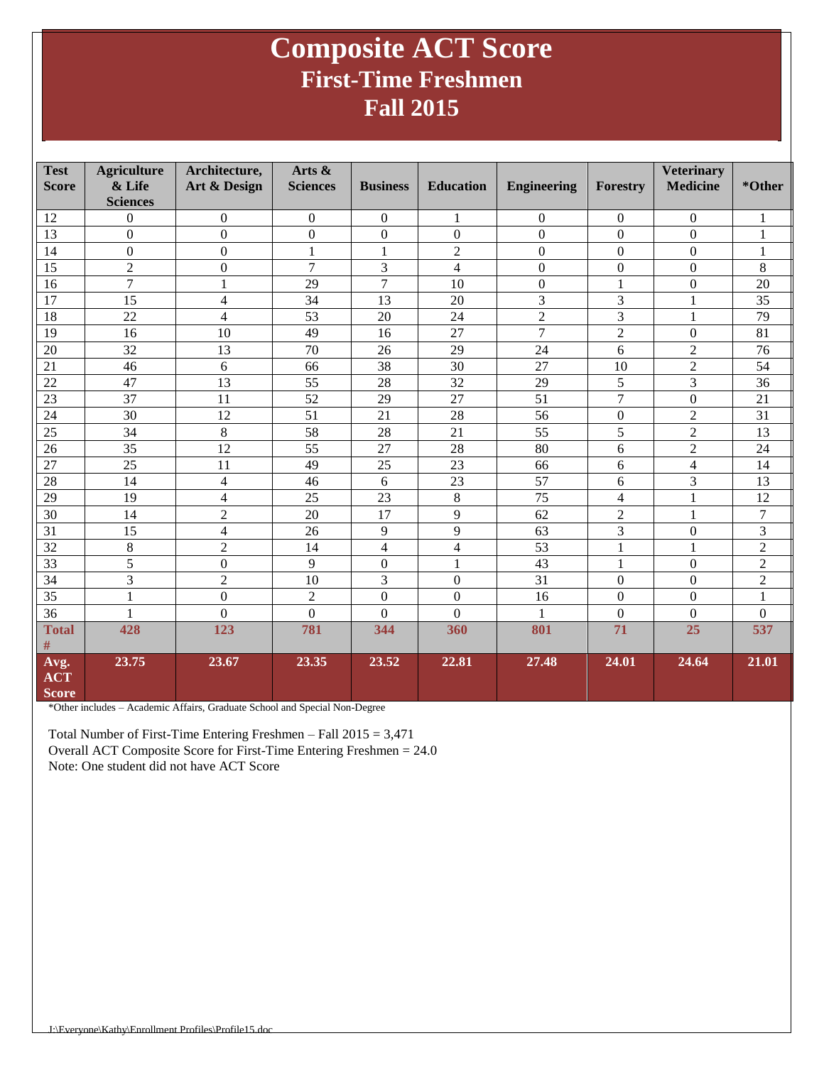### **Composite ACT Score First-Time Freshmen Fall 2015**

| <b>Test</b><br><b>Score</b>        | <b>Agriculture</b><br>& Life<br><b>Sciences</b> | Architecture,<br>Art & Design | Arts &<br><b>Sciences</b> | <b>Business</b>  | <b>Education</b> | <b>Engineering</b> | Forestry         | <b>Veterinary</b><br><b>Medicine</b> | *Other         |
|------------------------------------|-------------------------------------------------|-------------------------------|---------------------------|------------------|------------------|--------------------|------------------|--------------------------------------|----------------|
| 12                                 | $\mathbf{0}$                                    | $\boldsymbol{0}$              | $\mathbf{0}$              | $\boldsymbol{0}$ | 1                | $\boldsymbol{0}$   | $\boldsymbol{0}$ | $\mathbf{0}$                         | 1              |
| 13                                 | $\Omega$                                        | $\overline{0}$                | $\boldsymbol{0}$          | $\mathbf{0}$     | $\boldsymbol{0}$ | $\boldsymbol{0}$   | $\boldsymbol{0}$ | $\overline{0}$                       | $\mathbf{1}$   |
| 14                                 | $\overline{0}$                                  | $\overline{0}$                | 1                         | $\mathbf{1}$     | $\overline{2}$   | $\mathbf{0}$       | $\overline{0}$   | $\overline{0}$                       | $\mathbf{1}$   |
| 15                                 | $\overline{c}$                                  | $\overline{0}$                | $\overline{7}$            | 3                | $\overline{4}$   | $\mathbf{0}$       | $\overline{0}$   | $\overline{0}$                       | 8              |
| 16                                 | $\overline{7}$                                  | 1                             | 29                        | $\overline{7}$   | 10               | $\boldsymbol{0}$   | 1                | $\mathbf{0}$                         | 20             |
| 17                                 | 15                                              | $\overline{4}$                | 34                        | 13               | 20               | 3                  | 3                | 1                                    | 35             |
| 18                                 | 22                                              | $\overline{\mathcal{L}}$      | 53                        | 20               | 24               | $\overline{2}$     | 3                | 1                                    | 79             |
| 19                                 | 16                                              | 10                            | 49                        | 16               | 27               | $\overline{7}$     | $\sqrt{2}$       | $\boldsymbol{0}$                     | 81             |
| 20                                 | 32                                              | 13                            | 70                        | 26               | 29               | 24                 | 6                | $\overline{2}$                       | 76             |
| 21                                 | 46                                              | 6                             | 66                        | 38               | 30               | 27                 | 10               | $\overline{2}$                       | 54             |
| 22                                 | 47                                              | 13                            | 55                        | 28               | 32               | 29                 | 5                | 3                                    | 36             |
| 23                                 | 37                                              | 11                            | 52                        | 29               | 27               | 51                 | $\overline{7}$   | $\overline{0}$                       | 21             |
| 24                                 | 30                                              | 12                            | $\overline{51}$           | 21               | 28               | 56                 | $\boldsymbol{0}$ | $\overline{2}$                       | 31             |
| 25                                 | 34                                              | $8\,$                         | 58                        | 28               | 21               | 55                 | 5                | $\overline{2}$                       | 13             |
| 26                                 | 35                                              | 12                            | 55                        | 27               | 28               | 80                 | 6                | $\overline{2}$                       | 24             |
| $\overline{27}$                    | 25                                              | 11                            | 49                        | 25               | 23               | 66                 | 6                | $\overline{4}$                       | 14             |
| 28                                 | 14                                              | $\overline{\mathcal{L}}$      | 46                        | 6                | 23               | 57                 | 6                | 3                                    | 13             |
| 29                                 | 19                                              | $\overline{4}$                | 25                        | 23               | 8                | 75                 | $\overline{4}$   | 1                                    | 12             |
| 30                                 | 14                                              | $\overline{c}$                | 20                        | 17               | 9                | 62                 | $\overline{c}$   | 1                                    | $\overline{7}$ |
| 31                                 | 15                                              | $\overline{\mathbf{4}}$       | 26                        | $\mathbf{9}$     | 9                | 63                 | 3                | $\boldsymbol{0}$                     | $\overline{3}$ |
| 32                                 | 8                                               | $\overline{2}$                | 14                        | $\overline{4}$   | $\overline{4}$   | 53                 | $\mathbf{1}$     |                                      | $\overline{c}$ |
| 33                                 | 5                                               | $\overline{0}$                | 9                         | $\mathbf{0}$     | $\mathbf{1}$     | 43                 | $\mathbf{1}$     | $\Omega$                             | $\overline{2}$ |
| 34                                 | 3                                               | $\overline{2}$                | 10                        | 3                | $\boldsymbol{0}$ | 31                 | $\boldsymbol{0}$ | $\Omega$                             | $\overline{2}$ |
| 35                                 | $\mathbf{1}$                                    | $\overline{0}$                | $\overline{2}$            | $\boldsymbol{0}$ | $\overline{0}$   | 16                 | $\boldsymbol{0}$ | $\overline{0}$                       | $\mathbf{1}$   |
| $\overline{36}$                    | $\mathbf{1}$                                    | $\mathbf{0}$                  | $\overline{0}$            | $\overline{0}$   | $\Omega$         | 1                  | $\boldsymbol{0}$ | $\Omega$                             | $\Omega$       |
| <b>Total</b><br>$\#$               | 428                                             | 123                           | 781                       | 344              | 360              | 801                | 71               | 25                                   | 537            |
| Avg.<br><b>ACT</b><br><b>Score</b> | 23.75                                           | 23.67                         | 23.35                     | 23.52            | 22.81            | 27.48              | 24.01            | 24.64                                | 21.01          |

\*Other includes – Academic Affairs, Graduate School and Special Non-Degree

Total Number of First-Time Entering Freshmen – Fall 2015 = 3,471 Overall ACT Composite Score for First-Time Entering Freshmen = 24.0 Note: One student did not have ACT Score